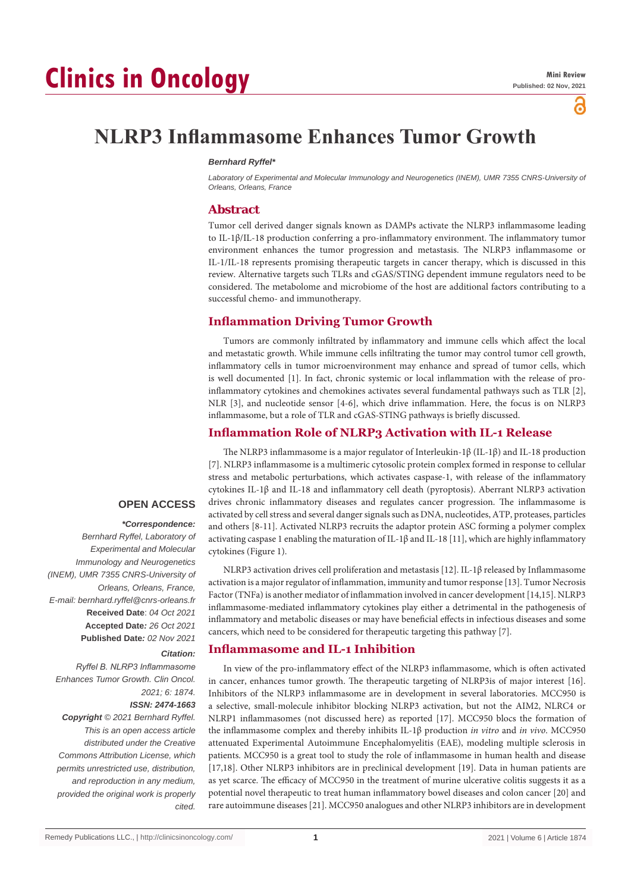# ്

# **NLRP3 Inflammasome Enhances Tumor Growth**

#### *Bernhard Ryffel\**

Laboratory of Experimental and Molecular Immunology and Neurogenetics (INEM), UMR 7355 CNRS-University of *Orleans, Orleans, France*

#### **Abstract**

Tumor cell derived danger signals known as DAMPs activate the NLRP3 inflammasome leading to IL-1β/IL-18 production conferring a pro-inflammatory environment. The inflammatory tumor environment enhances the tumor progression and metastasis. The NLRP3 inflammasome or IL-1/IL-18 represents promising therapeutic targets in cancer therapy, which is discussed in this review. Alternative targets such TLRs and cGAS/STING dependent immune regulators need to be considered. The metabolome and microbiome of the host are additional factors contributing to a successful chemo- and immunotherapy.

## **Inflammation Driving Tumor Growth**

Tumors are commonly infiltrated by inflammatory and immune cells which affect the local and metastatic growth. While immune cells infiltrating the tumor may control tumor cell growth, inflammatory cells in tumor microenvironment may enhance and spread of tumor cells, which is well documented [1]. In fact, chronic systemic or local inflammation with the release of proinflammatory cytokines and chemokines activates several fundamental pathways such as TLR [2], NLR [3], and nucleotide sensor [4-6], which drive inflammation. Here, the focus is on NLRP3 inflammasome, but a role of TLR and cGAS-STING pathways is briefly discussed.

### **Inflammation Role of NLRP3 Activation with IL-1 Release**

The NLRP3 inflammasome is a major regulator of Interleukin-1β (IL-1β) and IL-18 production [7]. NLRP3 inflammasome is a multimeric cytosolic protein complex formed in response to cellular stress and metabolic perturbations, which activates caspase-1, with release of the inflammatory cytokines IL-1β and IL-18 and inflammatory cell death (pyroptosis). Aberrant NLRP3 activation drives chronic inflammatory diseases and regulates cancer progression. The inflammasome is activated by cell stress and several danger signals such as DNA, nucleotides, ATP, proteases, particles and others [8-11]. Activated NLRP3 recruits the adaptor protein ASC forming a polymer complex activating caspase 1 enabling the maturation of IL-1β and IL-18 [11], which are highly inflammatory cytokines (Figure 1).

# **OPEN ACCESS**

#### *\*Correspondence:*

*Bernhard Ryffel, Laboratory of Experimental and Molecular Immunology and Neurogenetics (INEM), UMR 7355 CNRS-University of Orleans, Orleans, France, E-mail: bernhard.ryffel@cnrs-orleans.fr* **Received Date**: *04 Oct 2021* **Accepted Date***: 26 Oct 2021* **Published Date***: 02 Nov 2021*

#### *Citation:*

*Ryffel B. NLRP3 Inflammasome Enhances Tumor Growth. Clin Oncol. 2021; 6: 1874.*

### *ISSN: 2474-1663*

*Copyright © 2021 Bernhard Ryffel. This is an open access article distributed under the Creative Commons Attribution License, which permits unrestricted use, distribution, and reproduction in any medium, provided the original work is properly cited.*

NLRP3 activation drives cell proliferation and metastasis [12]. IL-1β released by Inflammasome activation is a major regulator of inflammation, immunity and tumor response [13]. Tumor Necrosis Factor (TNFa) is another mediator of inflammation involved in cancer development [14,15]. NLRP3 inflammasome-mediated inflammatory cytokines play either a detrimental in the pathogenesis of inflammatory and metabolic diseases or may have beneficial effects in infectious diseases and some cancers, which need to be considered for therapeutic targeting this pathway [7].

## **Inflammasome and IL-1 Inhibition**

In view of the pro-inflammatory effect of the NLRP3 inflammasome, which is often activated in cancer, enhances tumor growth. The therapeutic targeting of NLRP3is of major interest [16]. Inhibitors of the NLRP3 inflammasome are in development in several laboratories. MCC950 is a selective, small-molecule inhibitor blocking NLRP3 activation, but not the AIM2, NLRC4 or NLRP1 inflammasomes (not discussed here) as reported [17]. MCC950 blocs the formation of the inflammasome complex and thereby inhibits IL-1β production *in vitro* and *in vivo*. MCC950 attenuated Experimental Autoimmune Encephalomyelitis (EAE), modeling multiple sclerosis in patients. MCC950 is a great tool to study the role of inflammasome in human health and disease [17,18]. Other NLRP3 inhibitors are in preclinical development [19]. Data in human patients are as yet scarce. The efficacy of MCC950 in the treatment of murine ulcerative colitis suggests it as a potential novel therapeutic to treat human inflammatory bowel diseases and colon cancer [20] and rare autoimmune diseases [21]. MCC950 analogues and other NLRP3 inhibitors are in development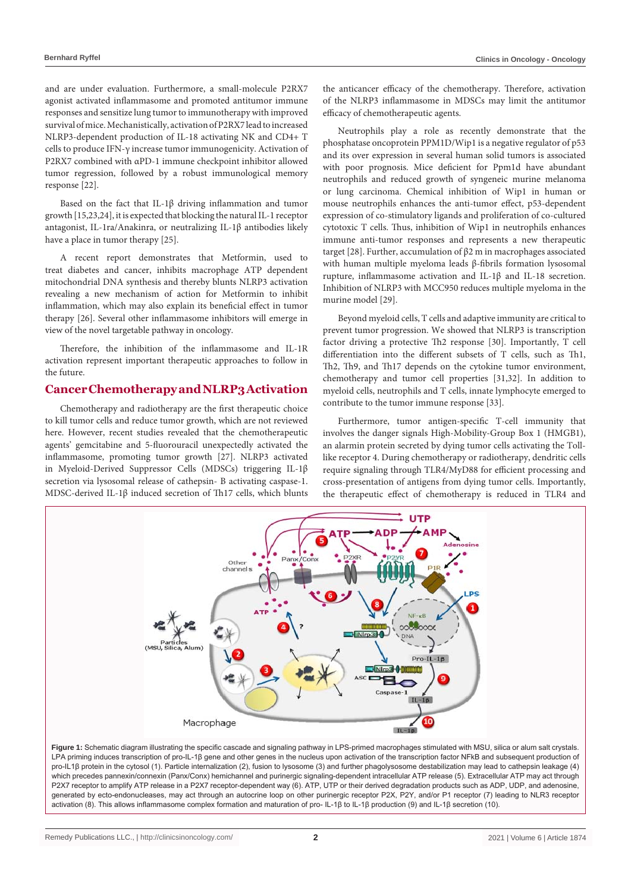and are under evaluation. Furthermore, a small-molecule P2RX7 agonist activated inflammasome and promoted antitumor immune responses and sensitize lung tumor to immunotherapy with improved survival of mice. Mechanistically, activation of P2RX7 lead to increased NLRP3-dependent production of IL-18 activating NK and CD4+ T cells to produce IFN-γ increase tumor immunogenicity. Activation of P2RX7 combined with αPD-1 immune checkpoint inhibitor allowed tumor regression, followed by a robust immunological memory response [22].

Based on the fact that IL-1β driving inflammation and tumor growth [15,23,24], it is expected that blocking the natural IL-1 receptor antagonist, IL-1ra/Anakinra, or neutralizing IL-1β antibodies likely have a place in tumor therapy [25].

A recent report demonstrates that Metformin, used to treat diabetes and cancer, inhibits macrophage ATP dependent mitochondrial DNA synthesis and thereby blunts NLRP3 activation revealing a new mechanism of action for Metformin to inhibit inflammation, which may also explain its beneficial effect in tumor therapy [26]. Several other inflammasome inhibitors will emerge in view of the novel targetable pathway in oncology.

Therefore, the inhibition of the inflammasome and IL-1R activation represent important therapeutic approaches to follow in the future.

## **Cancer Chemotherapy and NLRP3 Activation**

Chemotherapy and radiotherapy are the first therapeutic choice to kill tumor cells and reduce tumor growth, which are not reviewed here. However, recent studies revealed that the chemotherapeutic agents' gemcitabine and 5-fluorouracil unexpectedly activated the inflammasome, promoting tumor growth [27]. NLRP3 activated in Myeloid-Derived Suppressor Cells (MDSCs) triggering IL-1β secretion via lysosomal release of cathepsin- B activating caspase-1. MDSC-derived IL-1β induced secretion of Th17 cells, which blunts the anticancer efficacy of the chemotherapy. Therefore, activation of the NLRP3 inflammasome in MDSCs may limit the antitumor efficacy of chemotherapeutic agents.

Neutrophils play a role as recently demonstrate that the phosphatase oncoprotein PPM1D/Wip1 is a negative regulator of p53 and its over expression in several human solid tumors is associated with poor prognosis. Mice deficient for Ppm1d have abundant neutrophils and reduced growth of syngeneic murine melanoma or lung carcinoma. Chemical inhibition of Wip1 in human or mouse neutrophils enhances the anti-tumor effect, p53-dependent expression of co-stimulatory ligands and proliferation of co-cultured cytotoxic T cells. Thus, inhibition of Wip1 in neutrophils enhances immune anti-tumor responses and represents a new therapeutic target [28]. Further, accumulation of β2 m in macrophages associated with human multiple myeloma leads β-fibrils formation lysosomal rupture, inflammasome activation and IL-1β and IL-18 secretion. Inhibition of NLRP3 with MCC950 reduces multiple myeloma in the murine model [29].

Beyond myeloid cells, T cells and adaptive immunity are critical to prevent tumor progression. We showed that NLRP3 is transcription factor driving a protective Th2 response [30]. Importantly, T cell differentiation into the different subsets of T cells, such as Th1, Th2, Th9, and Th17 depends on the cytokine tumor environment, chemotherapy and tumor cell properties [31,32]. In addition to myeloid cells, neutrophils and T cells, innate lymphocyte emerged to contribute to the tumor immune response [33].

Furthermore, tumor antigen-specific T-cell immunity that involves the danger signals High-Mobility-Group Box 1 (HMGB1), an alarmin protein secreted by dying tumor cells activating the Tolllike receptor 4. During chemotherapy or radiotherapy, dendritic cells require signaling through TLR4/MyD88 for efficient processing and cross-presentation of antigens from dying tumor cells. Importantly, the therapeutic effect of chemotherapy is reduced in TLR4 and



Figure 1: Schematic diagram illustrating the specific cascade and signaling pathway in LPS-primed macrophages stimulated with MSU, silica or alum salt crystals. LPA priming induces transcription of pro-IL-1β gene and other genes in the nucleus upon activation of the transcription factor NFkB and subsequent production of pro-IL1β protein in the cytosol (1). Particle internalization (2), fusion to lysosome (3) and further phagolysosome destabilization may lead to cathepsin leakage (4) which precedes pannexin/connexin (Panx/Conx) hemichannel and purinergic signaling-dependent intracellular ATP release (5). Extracellular ATP may act through P2X7 receptor to amplify ATP release in a P2X7 receptor-dependent way (6). ATP, UTP or their derived degradation products such as ADP, UDP, and adenosine. generated by ecto-endonucleases, may act through an autocrine loop on other purinergic receptor P2X, P2Y, and/or P1 receptor (7) leading to NLR3 receptor activation (8). This allows inflammasome complex formation and maturation of pro- IL-1β to IL-1β production (9) and IL-1β secretion (10).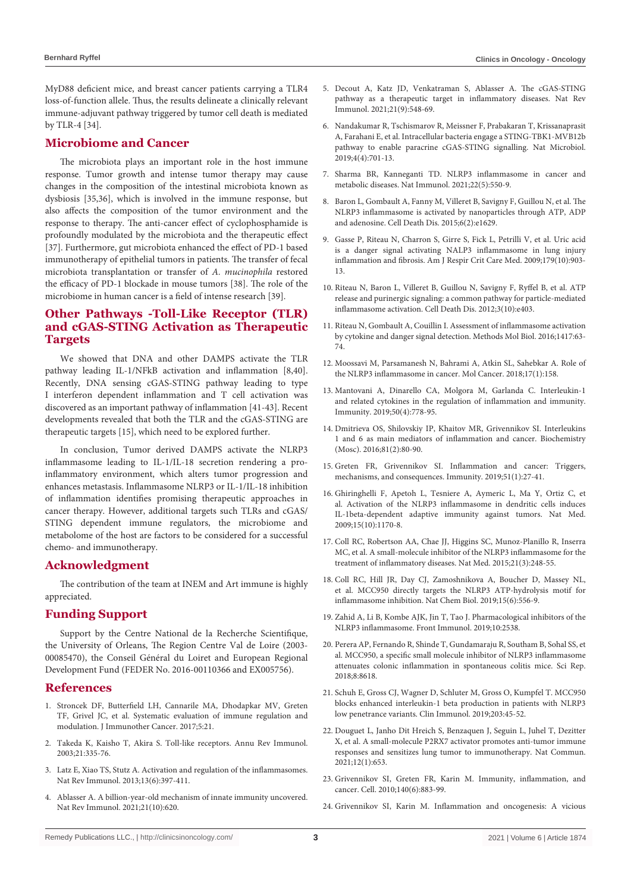MyD88 deficient mice, and breast cancer patients carrying a TLR4 loss-of-function allele. Thus, the results delineate a clinically relevant immune-adjuvant pathway triggered by tumor cell death is mediated by TLR-4 [34].

#### **Microbiome and Cancer**

The microbiota plays an important role in the host immune response. Tumor growth and intense tumor therapy may cause changes in the composition of the intestinal microbiota known as dysbiosis [35,36], which is involved in the immune response, but also affects the composition of the tumor environment and the response to therapy. The anti-cancer effect of cyclophosphamide is profoundly modulated by the microbiota and the therapeutic effect [37]. Furthermore, gut microbiota enhanced the effect of PD-1 based immunotherapy of epithelial tumors in patients. The transfer of fecal microbiota transplantation or transfer of *A. mucinophila* restored the efficacy of PD-1 blockade in mouse tumors [38]. The role of the microbiome in human cancer is a field of intense research [39].

## **Other Pathways -Toll-Like Receptor (TLR) and cGAS-STING Activation as Therapeutic Targets**

We showed that DNA and other DAMPS activate the TLR pathway leading IL-1/NFkB activation and inflammation [8,40]. Recently, DNA sensing cGAS-STING pathway leading to type I interferon dependent inflammation and T cell activation was discovered as an important pathway of inflammation [41-43]. Recent developments revealed that both the TLR and the cGAS-STING are therapeutic targets [15], which need to be explored further.

In conclusion, Tumor derived DAMPS activate the NLRP3 inflammasome leading to IL-1/IL-18 secretion rendering a proinflammatory environment, which alters tumor progression and enhances metastasis. Inflammasome NLRP3 or IL-1/IL-18 inhibition of inflammation identifies promising therapeutic approaches in cancer therapy. However, additional targets such TLRs and cGAS/ STING dependent immune regulators, the microbiome and metabolome of the host are factors to be considered for a successful chemo- and immunotherapy.

#### **Acknowledgment**

The contribution of the team at INEM and Art immune is highly appreciated.

## **Funding Support**

Support by the Centre National de la Recherche Scientifique, the University of Orleans, The Region Centre Val de Loire (2003- 00085470), the Conseil Général du Loiret and European Regional Development Fund (FEDER No. 2016-00110366 and EX005756).

#### **References**

- 1. [Stroncek DF, Butterfield LH, Cannarile MA, Dhodapkar MV, Greten](https://jitc.biomedcentral.com/articles/10.1186/s40425-017-0223-8)  [TF, Grivel JC, et al. Systematic evaluation of immune regulation and](https://jitc.biomedcentral.com/articles/10.1186/s40425-017-0223-8)  [modulation. J Immunother Cancer. 2017;5:21.](https://jitc.biomedcentral.com/articles/10.1186/s40425-017-0223-8)
- 2. [Takeda K, Kaisho T, Akira S. Toll-like receptors. Annu Rev Immunol.](https://pubmed.ncbi.nlm.nih.gov/12524386/)  [2003;21:335-76.](https://pubmed.ncbi.nlm.nih.gov/12524386/)
- 3. [Latz E, Xiao TS, Stutz A. Activation and regulation of the inflammasomes.](https://pubmed.ncbi.nlm.nih.gov/23702978/)  [Nat Rev Immunol. 2013;13\(6\):397-411.](https://pubmed.ncbi.nlm.nih.gov/23702978/)
- 4. [Ablasser A. A billion-year-old mechanism of innate immunity uncovered.](https://pubmed.ncbi.nlm.nih.gov/34580458/)  [Nat Rev Immunol. 2021;21\(10\):620.](https://pubmed.ncbi.nlm.nih.gov/34580458/)
- 5. [Decout A, Katz JD, Venkatraman S, Ablasser A. The cGAS-STING](https://pubmed.ncbi.nlm.nih.gov/33833439/)  [pathway as a therapeutic target in inflammatory diseases. Nat Rev](https://pubmed.ncbi.nlm.nih.gov/33833439/)  [Immunol. 2021;21\(9\):548-69.](https://pubmed.ncbi.nlm.nih.gov/33833439/)
- 6. [Nandakumar R, Tschismarov R, Meissner F, Prabakaran T, Krissanaprasit](https://pubmed.ncbi.nlm.nih.gov/30804548/)  [A, Farahani E, et al. Intracellular bacteria engage a STING-TBK1-MVB12b](https://pubmed.ncbi.nlm.nih.gov/30804548/)  [pathway to enable paracrine cGAS-STING signalling. Nat Microbiol.](https://pubmed.ncbi.nlm.nih.gov/30804548/)  [2019;4\(4\):701-13.](https://pubmed.ncbi.nlm.nih.gov/30804548/)
- 7. [Sharma BR, Kanneganti TD. NLRP3 inflammasome in cancer and](https://europepmc.org/article/med/33707781)  [metabolic diseases. Nat Immunol. 2021;22\(5\):550-9.](https://europepmc.org/article/med/33707781)
- 8. [Baron L, Gombault A, Fanny M, Villeret B, Savigny F, Guillou N, et al. The](https://pubmed.ncbi.nlm.nih.gov/25654762/)  [NLRP3 inflammasome is activated by nanoparticles through ATP, ADP](https://pubmed.ncbi.nlm.nih.gov/25654762/)  [and adenosine. Cell Death Dis. 2015;6\(2\):e1629.](https://pubmed.ncbi.nlm.nih.gov/25654762/)
- 9. [Gasse P, Riteau N, Charron S, Girre S, Fick L, Petrilli V, et al. Uric acid](https://pubmed.ncbi.nlm.nih.gov/19218193/)  [is a danger signal activating NALP3 inflammasome in lung injury](https://pubmed.ncbi.nlm.nih.gov/19218193/)  [inflammation and fibrosis. Am J Respir Crit Care Med. 2009;179\(10\):903-](https://pubmed.ncbi.nlm.nih.gov/19218193/) [13.](https://pubmed.ncbi.nlm.nih.gov/19218193/)
- 10. [Riteau N, Baron L, Villeret B, Guillou N, Savigny F, Ryffel B, et al. ATP](https://pubmed.ncbi.nlm.nih.gov/23059822/)  [release and purinergic signaling: a common pathway for particle-mediated](https://pubmed.ncbi.nlm.nih.gov/23059822/)  [inflammasome activation. Cell Death Dis. 2012;3\(10\):e403.](https://pubmed.ncbi.nlm.nih.gov/23059822/)
- 11. [Riteau N, Gombault A, Couillin I. Assessment of inflammasome activation](https://pubmed.ncbi.nlm.nih.gov/27221481/)  [by cytokine and danger signal detection. Methods Mol Biol. 2016;1417:63-](https://pubmed.ncbi.nlm.nih.gov/27221481/) [74.](https://pubmed.ncbi.nlm.nih.gov/27221481/)
- 12. [Moossavi M, Parsamanesh N, Bahrami A, Atkin SL, Sahebkar A. Role of](https://pubmed.ncbi.nlm.nih.gov/30447690/)  [the NLRP3 inflammasome in cancer. Mol Cancer. 2018;17\(1\):158.](https://pubmed.ncbi.nlm.nih.gov/30447690/)
- 13. [Mantovani A, Dinarello CA, Molgora M, Garlanda C. Interleukin-1](https://pubmed.ncbi.nlm.nih.gov/30995499/)  [and related cytokines in the regulation of inflammation and immunity.](https://pubmed.ncbi.nlm.nih.gov/30995499/)  [Immunity. 2019;50\(4\):778-95.](https://pubmed.ncbi.nlm.nih.gov/30995499/)
- 14. [Dmitrieva OS, Shilovskiy IP, Khaitov MR, Grivennikov SI. Interleukins](https://pubmed.ncbi.nlm.nih.gov/27260388/)  [1 and 6 as main mediators of inflammation and cancer. Biochemistry](https://pubmed.ncbi.nlm.nih.gov/27260388/)  [\(Mosc\). 2016;81\(2\):80-90.](https://pubmed.ncbi.nlm.nih.gov/27260388/)
- 15. [Greten FR, Grivennikov SI. Inflammation and cancer: Triggers,](https://pubmed.ncbi.nlm.nih.gov/31315034/)  [mechanisms, and consequences. Immunity. 2019;51\(1\):27-41.](https://pubmed.ncbi.nlm.nih.gov/31315034/)
- 16. [Ghiringhelli F, Apetoh L, Tesniere A, Aymeric L, Ma Y, Ortiz C, et](https://pubmed.ncbi.nlm.nih.gov/19767732/)  [al. Activation of the NLRP3 inflammasome in dendritic cells induces](https://pubmed.ncbi.nlm.nih.gov/19767732/)  [IL-1beta-dependent adaptive immunity against tumors. Nat Med.](https://pubmed.ncbi.nlm.nih.gov/19767732/)  [2009;15\(10\):1170-8.](https://pubmed.ncbi.nlm.nih.gov/19767732/)
- 17. [Coll RC, Robertson AA, Chae JJ, Higgins SC, Munoz-Planillo R, Inserra](https://pubmed.ncbi.nlm.nih.gov/25686105/)  [MC, et al. A small-molecule inhibitor of the NLRP3 inflammasome for the](https://pubmed.ncbi.nlm.nih.gov/25686105/)  [treatment of inflammatory diseases. Nat Med. 2015;21\(3\):248-55.](https://pubmed.ncbi.nlm.nih.gov/25686105/)
- 18. [Coll RC, Hill JR, Day CJ, Zamoshnikova A, Boucher D, Massey NL,](https://pubmed.ncbi.nlm.nih.gov/31086327/)  [et al. MCC950 directly targets the NLRP3 ATP-hydrolysis motif for](https://pubmed.ncbi.nlm.nih.gov/31086327/)  [inflammasome inhibition. Nat Chem Biol. 2019;15\(6\):556-9.](https://pubmed.ncbi.nlm.nih.gov/31086327/)
- 19. [Zahid A, Li B, Kombe AJK, Jin T, Tao J. Pharmacological inhibitors of the](https://pubmed.ncbi.nlm.nih.gov/31749805/)  [NLRP3 inflammasome. Front Immunol. 2019;10:2538.](https://pubmed.ncbi.nlm.nih.gov/31749805/)
- 20. [Perera AP, Fernando R, Shinde T, Gundamaraju R, Southam B, Sohal SS, et](https://www.nature.com/articles/s41598-018-26775-w)  [al. MCC950, a specific small molecule inhibitor of NLRP3 inflammasome](https://www.nature.com/articles/s41598-018-26775-w)  [attenuates colonic inflammation in spontaneous colitis mice. Sci Rep.](https://www.nature.com/articles/s41598-018-26775-w)  [2018;8:8618.](https://www.nature.com/articles/s41598-018-26775-w)
- 21. [Schuh E, Gross CJ, Wagner D, Schluter M, Gross O, Kumpfel T. MCC950](https://pubmed.ncbi.nlm.nih.gov/30974290/)  [blocks enhanced interleukin-1 beta production in patients with NLRP3](https://pubmed.ncbi.nlm.nih.gov/30974290/)  [low penetrance variants. Clin Immunol. 2019;203:45-52.](https://pubmed.ncbi.nlm.nih.gov/30974290/)
- 22. [Douguet L, Janho Dit Hreich S, Benzaquen J, Seguin L, Juhel T, Dezitter](https://pubmed.ncbi.nlm.nih.gov/33510147/)  [X, et al. A small-molecule P2RX7 activator promotes anti-tumor immune](https://pubmed.ncbi.nlm.nih.gov/33510147/)  [responses and sensitizes lung tumor to immunotherapy. Nat Commun.](https://pubmed.ncbi.nlm.nih.gov/33510147/)  [2021;12\(1\):653.](https://pubmed.ncbi.nlm.nih.gov/33510147/)
- 23. [Grivennikov SI, Greten FR, Karin M. Immunity, inflammation, and](https://pubmed.ncbi.nlm.nih.gov/20303878/)  [cancer. Cell. 2010;140\(6\):883-99.](https://pubmed.ncbi.nlm.nih.gov/20303878/)
- 24. [Grivennikov SI, Karin M. Inflammation and oncogenesis: A vicious](https://pubmed.ncbi.nlm.nih.gov/20036794/)